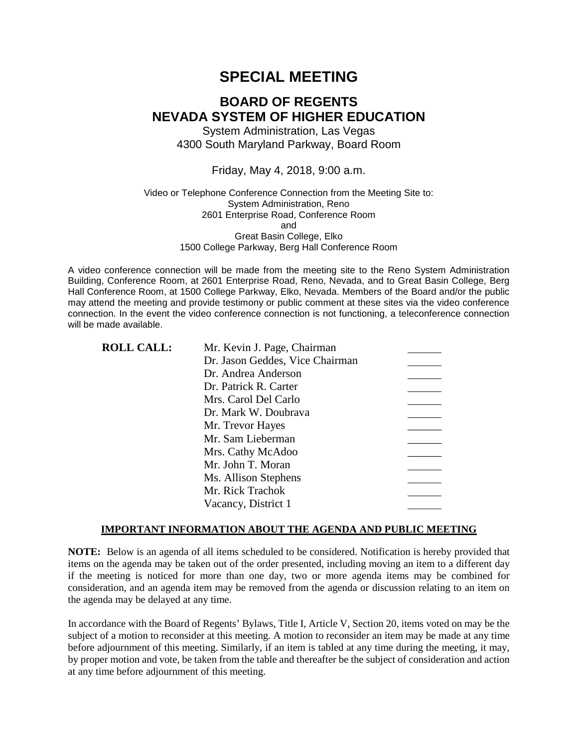# **SPECIAL MEETING**

# **BOARD OF REGENTS NEVADA SYSTEM OF HIGHER EDUCATION**

System Administration, Las Vegas 4300 South Maryland Parkway, Board Room

### Friday, May 4, 2018, 9:00 a.m.

### Video or Telephone Conference Connection from the Meeting Site to: System Administration, Reno 2601 Enterprise Road, Conference Room and Great Basin College, Elko 1500 College Parkway, Berg Hall Conference Room

A video conference connection will be made from the meeting site to the Reno System Administration Building, Conference Room, at 2601 Enterprise Road, Reno, Nevada, and to Great Basin College, Berg Hall Conference Room, at 1500 College Parkway, Elko, Nevada. Members of the Board and/or the public may attend the meeting and provide testimony or public comment at these sites via the video conference connection. In the event the video conference connection is not functioning, a teleconference connection will be made available.

| <b>ROLL CALL:</b> | Mr. Kevin J. Page, Chairman     |  |
|-------------------|---------------------------------|--|
|                   | Dr. Jason Geddes, Vice Chairman |  |
|                   | Dr. Andrea Anderson             |  |
|                   | Dr. Patrick R. Carter           |  |
|                   | Mrs. Carol Del Carlo            |  |
|                   | Dr. Mark W. Doubrava            |  |
|                   | Mr. Trevor Hayes                |  |
|                   | Mr. Sam Lieberman               |  |
|                   | Mrs. Cathy McAdoo               |  |
|                   | Mr. John T. Moran               |  |
|                   | Ms. Allison Stephens            |  |
|                   | Mr. Rick Trachok                |  |
|                   | Vacancy, District 1             |  |
|                   |                                 |  |

### **IMPORTANT INFORMATION ABOUT THE AGENDA AND PUBLIC MEETING**

**NOTE:** Below is an agenda of all items scheduled to be considered. Notification is hereby provided that items on the agenda may be taken out of the order presented, including moving an item to a different day if the meeting is noticed for more than one day, two or more agenda items may be combined for consideration, and an agenda item may be removed from the agenda or discussion relating to an item on the agenda may be delayed at any time.

In accordance with the Board of Regents' Bylaws, Title I, Article V, Section 20, items voted on may be the subject of a motion to reconsider at this meeting. A motion to reconsider an item may be made at any time before adjournment of this meeting. Similarly, if an item is tabled at any time during the meeting, it may, by proper motion and vote, be taken from the table and thereafter be the subject of consideration and action at any time before adjournment of this meeting.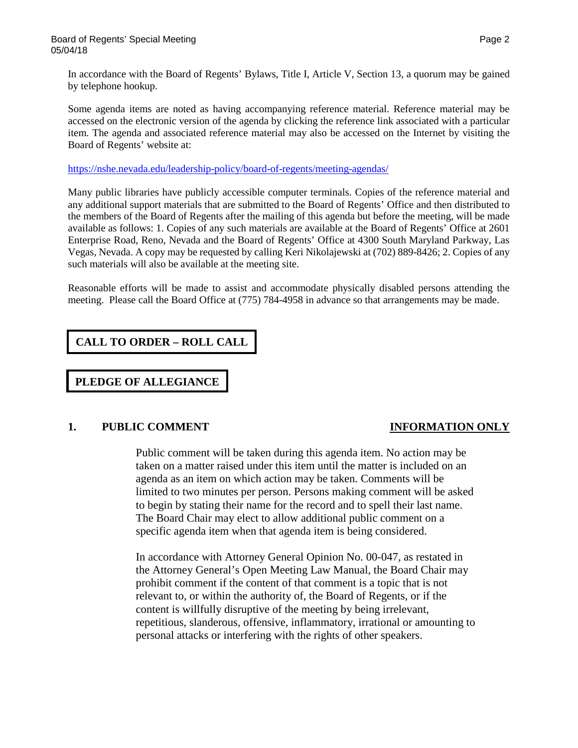In accordance with the Board of Regents' Bylaws, Title I, Article V, Section 13, a quorum may be gained by telephone hookup.

Some agenda items are noted as having accompanying reference material. Reference material may be accessed on the electronic version of the agenda by clicking the reference link associated with a particular item. The agenda and associated reference material may also be accessed on the Internet by visiting the Board of Regents' website at:

<https://nshe.nevada.edu/leadership-policy/board-of-regents/meeting-agendas/>

Many public libraries have publicly accessible computer terminals. Copies of the reference material and any additional support materials that are submitted to the Board of Regents' Office and then distributed to the members of the Board of Regents after the mailing of this agenda but before the meeting, will be made available as follows: 1. Copies of any such materials are available at the Board of Regents' Office at 2601 Enterprise Road, Reno, Nevada and the Board of Regents' Office at 4300 South Maryland Parkway, Las Vegas, Nevada. A copy may be requested by calling Keri Nikolajewski at (702) 889-8426; 2. Copies of any such materials will also be available at the meeting site.

Reasonable efforts will be made to assist and accommodate physically disabled persons attending the meeting. Please call the Board Office at (775) 784-4958 in advance so that arrangements may be made.

**CALL TO ORDER – ROLL CALL**

**PLEDGE OF ALLEGIANCE**

### **1. PUBLIC COMMENT INFORMATION ONLY**

Public comment will be taken during this agenda item. No action may be taken on a matter raised under this item until the matter is included on an agenda as an item on which action may be taken. Comments will be limited to two minutes per person. Persons making comment will be asked to begin by stating their name for the record and to spell their last name. The Board Chair may elect to allow additional public comment on a specific agenda item when that agenda item is being considered.

In accordance with Attorney General Opinion No. 00-047, as restated in the Attorney General's Open Meeting Law Manual, the Board Chair may prohibit comment if the content of that comment is a topic that is not relevant to, or within the authority of, the Board of Regents, or if the content is willfully disruptive of the meeting by being irrelevant, repetitious, slanderous, offensive, inflammatory, irrational or amounting to personal attacks or interfering with the rights of other speakers.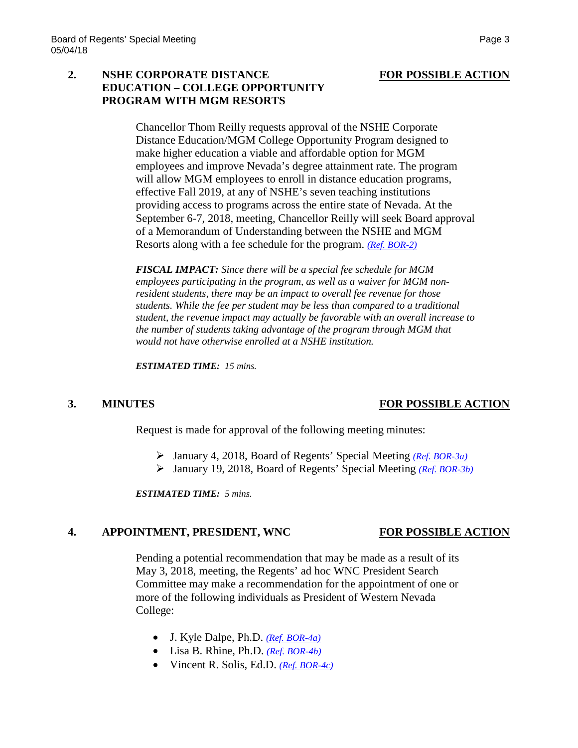# **2. NSHE CORPORATE DISTANCE FOR POSSIBLE ACTION EDUCATION – COLLEGE OPPORTUNITY PROGRAM WITH MGM RESORTS**

Chancellor Thom Reilly requests approval of the NSHE Corporate Distance Education/MGM College Opportunity Program designed to make higher education a viable and affordable option for MGM employees and improve Nevada's degree attainment rate. The program will allow MGM employees to enroll in distance education programs, effective Fall 2019, at any of NSHE's seven teaching institutions providing access to programs across the entire state of Nevada. At the September 6-7, 2018, meeting, Chancellor Reilly will seek Board approval of a Memorandum of Understanding between the NSHE and MGM Resorts along with a fee schedule for the program. *[\(Ref. BOR-2\)](https://nshe.nevada.edu/wp-content/uploads/file/BoardOfRegents/Agendas/2018/may-mtgs/bor4-refs/BOR-2.pdf)*

*FISCAL IMPACT: Since there will be a special fee schedule for MGM employees participating in the program, as well as a waiver for MGM nonresident students, there may be an impact to overall fee revenue for those students. While the fee per student may be less than compared to a traditional student, the revenue impact may actually be favorable with an overall increase to the number of students taking advantage of the program through MGM that would not have otherwise enrolled at a NSHE institution.*

*ESTIMATED TIME: 15 mins.*

### **3. MINUTES FOR POSSIBLE ACTION**

Request is made for approval of the following meeting minutes:

- January 4, 2018, Board of Regents' Special Meeting *[\(Ref. BOR-3a\)](https://nshe.nevada.edu/wp-content/uploads/file/BoardOfRegents/Agendas/2018/may-mtgs/bor4-refs/BOR-3a.pdf)*
- January 19, 2018, Board of Regents' Special Meeting *[\(Ref. BOR-3b\)](https://nshe.nevada.edu/wp-content/uploads/file/BoardOfRegents/Agendas/2018/may-mtgs/bor4-refs/BOR-3b.pdf)*

*ESTIMATED TIME: 5 mins.*

# **4. APPOINTMENT, PRESIDENT, WNC FOR POSSIBLE ACTION**

Pending a potential recommendation that may be made as a result of its May 3, 2018, meeting, the Regents' ad hoc WNC President Search Committee may make a recommendation for the appointment of one or more of the following individuals as President of Western Nevada College:

- J. Kyle Dalpe, Ph.D. *[\(Ref. BOR-4a\)](https://nshe.nevada.edu/wp-content/uploads/file/BoardOfRegents/Agendas/2018/may-mtgs/bor4-refs/BOR-4a.pdf)*
- Lisa B. Rhine, Ph.D. *[\(Ref. BOR-4b\)](https://nshe.nevada.edu/wp-content/uploads/file/BoardOfRegents/Agendas/2018/may-mtgs/bor4-refs/BOR-4b.pdf)*
- Vincent R. Solis, Ed.D. *[\(Ref. BOR-4c\)](https://nshe.nevada.edu/wp-content/uploads/file/BoardOfRegents/Agendas/2018/may-mtgs/bor4-refs/BOR-4c.pdf)*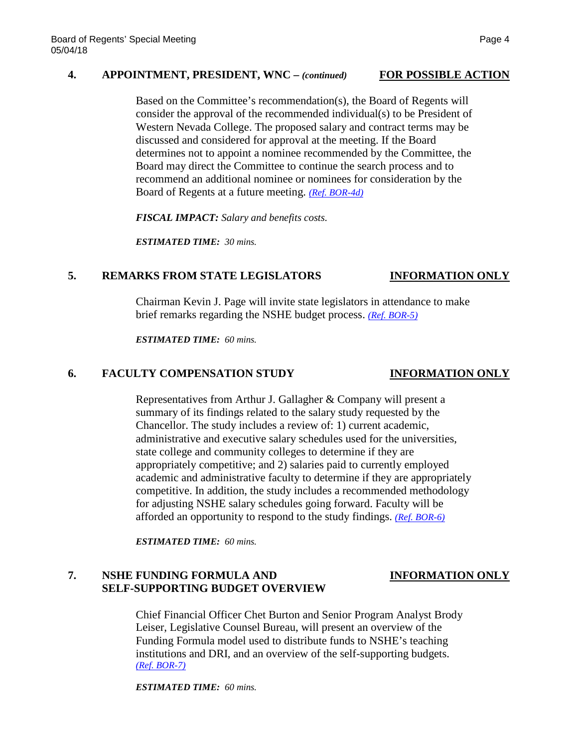## **4. APPOINTMENT, PRESIDENT, WNC –** *(continued)* **FOR POSSIBLE ACTION**

Based on the Committee's recommendation(s), the Board of Regents will consider the approval of the recommended individual(s) to be President of Western Nevada College. The proposed salary and contract terms may be discussed and considered for approval at the meeting. If the Board determines not to appoint a nominee recommended by the Committee, the Board may direct the Committee to continue the search process and to recommend an additional nominee or nominees for consideration by the Board of Regents at a future meeting. *[\(Ref. BOR-4d\)](https://nshe.nevada.edu/wp-content/uploads/file/BoardOfRegents/Agendas/2018/may-mtgs/bor4-refs/BOR-4d.pdf)*

*FISCAL IMPACT: Salary and benefits costs.*

*ESTIMATED TIME: 30 mins.*

### **5. REMARKS FROM STATE LEGISLATORS INFORMATION ONLY**

# Chairman Kevin J. Page will invite state legislators in attendance to make brief remarks regarding the NSHE budget process. *[\(Ref. BOR-5\)](https://nshe.nevada.edu/wp-content/uploads/file/BoardOfRegents/Agendas/2018/may-mtgs/bor4-refs/BOR-5.pdf)*

*ESTIMATED TIME: 60 mins.*

### **6. FACULTY COMPENSATION STUDY INFORMATION ONLY**

Representatives from Arthur J. Gallagher & Company will present a summary of its findings related to the salary study requested by the Chancellor. The study includes a review of: 1) current academic, administrative and executive salary schedules used for the universities, state college and community colleges to determine if they are appropriately competitive; and 2) salaries paid to currently employed academic and administrative faculty to determine if they are appropriately competitive. In addition, the study includes a recommended methodology for adjusting NSHE salary schedules going forward. Faculty will be afforded an opportunity to respond to the study findings. *[\(Ref. BOR-6\)](https://nshe.nevada.edu/wp-content/uploads/file/BoardOfRegents/Agendas/2018/may-mtgs/bor4-refs/BOR-6.pdf)*

*ESTIMATED TIME: 60 mins.*

## **7. NSHE FUNDING FORMULA AND INFORMATION ONLY SELF-SUPPORTING BUDGET OVERVIEW**

Chief Financial Officer Chet Burton and Senior Program Analyst Brody Leiser, Legislative Counsel Bureau, will present an overview of the Funding Formula model used to distribute funds to NSHE's teaching institutions and DRI, and an overview of the self-supporting budgets. *[\(Ref. BOR-7\)](https://nshe.nevada.edu/wp-content/uploads/file/BoardOfRegents/Agendas/2018/may-mtgs/bor4-refs/BOR-7.pdf)*

*ESTIMATED TIME: 60 mins.*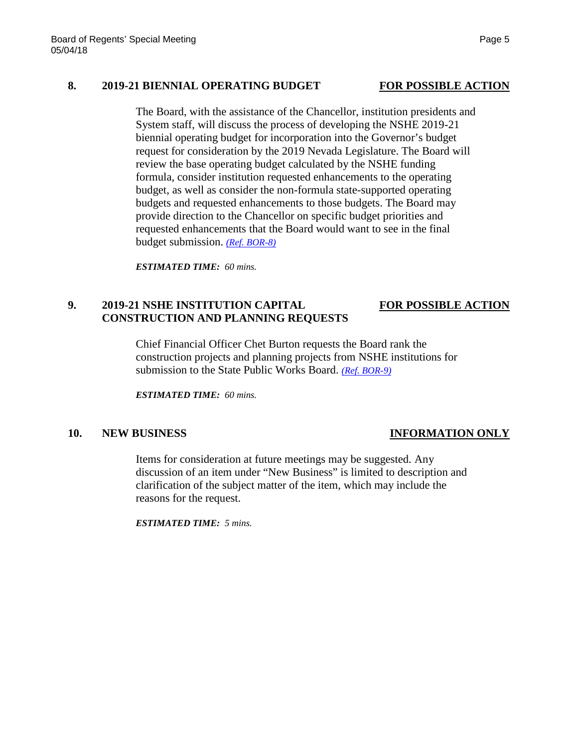## **8. 2019-21 BIENNIAL OPERATING BUDGET FOR POSSIBLE ACTION**

The Board, with the assistance of the Chancellor, institution presidents and System staff, will discuss the process of developing the NSHE 2019-21 biennial operating budget for incorporation into the Governor's budget request for consideration by the 2019 Nevada Legislature. The Board will review the base operating budget calculated by the NSHE funding formula, consider institution requested enhancements to the operating budget, as well as consider the non-formula state-supported operating budgets and requested enhancements to those budgets. The Board may provide direction to the Chancellor on specific budget priorities and requested enhancements that the Board would want to see in the final budget submission. *[\(Ref. BOR-8\)](https://nshe.nevada.edu/wp-content/uploads/file/BoardOfRegents/Agendas/2018/may-mtgs/bor4-refs/BOR-8.pdf)*

*ESTIMATED TIME: 60 mins.*

# **9. 2019-21 NSHE INSTITUTION CAPITAL FOR POSSIBLE ACTION CONSTRUCTION AND PLANNING REQUESTS**

Chief Financial Officer Chet Burton requests the Board rank the construction projects and planning projects from NSHE institutions for submission to the State Public Works Board. *[\(Ref. BOR-9\)](https://nshe.nevada.edu/wp-content/uploads/file/BoardOfRegents/Agendas/2018/may-mtgs/bor4-refs/BOR-9.pdf)*

*ESTIMATED TIME: 60 mins.*

## **10. NEW BUSINESS INFORMATION ONLY**

Items for consideration at future meetings may be suggested. Any discussion of an item under "New Business" is limited to description and clarification of the subject matter of the item, which may include the reasons for the request.

*ESTIMATED TIME: 5 mins.*